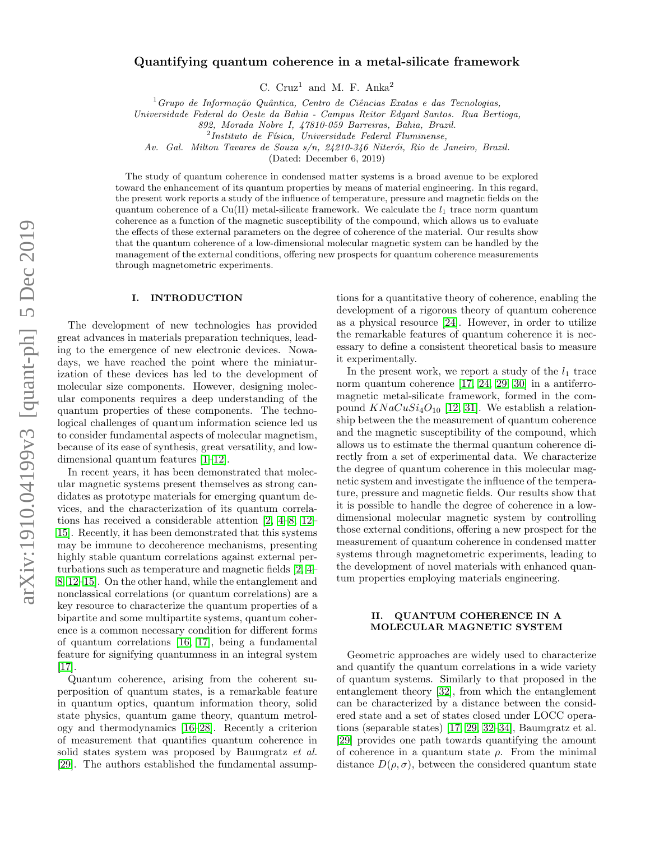# Quantifying quantum coherence in a metal-silicate framework

C.  $Cruz^1$  and M. F. Anka<sup>2</sup>

 $1$ Grupo de Informação Quântica, Centro de Ciências Exatas e das Tecnologias,

Universidade Federal do Oeste da Bahia - Campus Reitor Edgard Santos. Rua Bertioga,

892, Morada Nobre I, 47810-059 Barreiras, Bahia, Brazil.

 $2$ Instituto de Física, Universidade Federal Fluminense,

Av. Gal. Milton Tavares de Souza  $s/n$ , 24210-346 Niterói, Rio de Janeiro, Brazil.

(Dated: December 6, 2019)

The study of quantum coherence in condensed matter systems is a broad avenue to be explored toward the enhancement of its quantum properties by means of material engineering. In this regard, the present work reports a study of the influence of temperature, pressure and magnetic fields on the quantum coherence of a Cu(II) metal-silicate framework. We calculate the  $l_1$  trace norm quantum coherence as a function of the magnetic susceptibility of the compound, which allows us to evaluate the effects of these external parameters on the degree of coherence of the material. Our results show that the quantum coherence of a low-dimensional molecular magnetic system can be handled by the management of the external conditions, offering new prospects for quantum coherence measurements through magnetometric experiments.

# I. INTRODUCTION

The development of new technologies has provided great advances in materials preparation techniques, leading to the emergence of new electronic devices. Nowadays, we have reached the point where the miniaturization of these devices has led to the development of molecular size components. However, designing molecular components requires a deep understanding of the quantum properties of these components. The technological challenges of quantum information science led us to consider fundamental aspects of molecular magnetism, because of its ease of synthesis, great versatility, and lowdimensional quantum features [\[1–](#page-5-0)[12\]](#page-5-1).

In recent years, it has been demonstrated that molecular magnetic systems present themselves as strong candidates as prototype materials for emerging quantum devices, and the characterization of its quantum correlations has received a considerable attention [\[2,](#page-5-2) [4–](#page-5-3)[8,](#page-5-4) [12–](#page-5-1) [15\]](#page-6-0). Recently, it has been demonstrated that this systems may be immune to decoherence mechanisms, presenting highly stable quantum correlations against external perturbations such as temperature and magnetic fields [\[2,](#page-5-2) [4–](#page-5-3) [8,](#page-5-4) [12–](#page-5-1)[15\]](#page-6-0). On the other hand, while the entanglement and nonclassical correlations (or quantum correlations) are a key resource to characterize the quantum properties of a bipartite and some multipartite systems, quantum coherence is a common necessary condition for different forms of quantum correlations [\[16,](#page-6-1) [17\]](#page-6-2), being a fundamental feature for signifying quantumness in an integral system [\[17\]](#page-6-2).

Quantum coherence, arising from the coherent superposition of quantum states, is a remarkable feature in quantum optics, quantum information theory, solid state physics, quantum game theory, quantum metrology and thermodynamics [\[16–](#page-6-1)[28\]](#page-6-3). Recently a criterion of measurement that quantifies quantum coherence in solid states system was proposed by Baumgratz et al. [\[29\]](#page-6-4). The authors established the fundamental assump-

tions for a quantitative theory of coherence, enabling the development of a rigorous theory of quantum coherence as a physical resource [\[24\]](#page-6-5). However, in order to utilize the remarkable features of quantum coherence it is necessary to define a consistent theoretical basis to measure it experimentally.

In the present work, we report a study of the  $l_1$  trace norm quantum coherence [\[17,](#page-6-2) [24,](#page-6-5) [29,](#page-6-4) [30\]](#page-6-6) in a antiferromagnetic metal-silicate framework, formed in the compound  $KNaCuSi<sub>4</sub>O<sub>10</sub>$  [\[12,](#page-5-1) [31\]](#page-6-7). We establish a relationship between the the measurement of quantum coherence and the magnetic susceptibility of the compound, which allows us to estimate the thermal quantum coherence directly from a set of experimental data. We characterize the degree of quantum coherence in this molecular magnetic system and investigate the influence of the temperature, pressure and magnetic fields. Our results show that it is possible to handle the degree of coherence in a lowdimensional molecular magnetic system by controlling those external conditions, offering a new prospect for the measurement of quantum coherence in condensed matter systems through magnetometric experiments, leading to the development of novel materials with enhanced quantum properties employing materials engineering.

## II. QUANTUM COHERENCE IN A MOLECULAR MAGNETIC SYSTEM

Geometric approaches are widely used to characterize and quantify the quantum correlations in a wide variety of quantum systems. Similarly to that proposed in the entanglement theory [\[32\]](#page-6-8), from which the entanglement can be characterized by a distance between the considered state and a set of states closed under LOCC operations (separable states) [\[17,](#page-6-2) [29,](#page-6-4) [32](#page-6-8)[–34\]](#page-6-9), Baumgratz et al. [\[29\]](#page-6-4) provides one path towards quantifying the amount of coherence in a quantum state  $\rho$ . From the minimal distance  $D(\rho, \sigma)$ , between the considered quantum state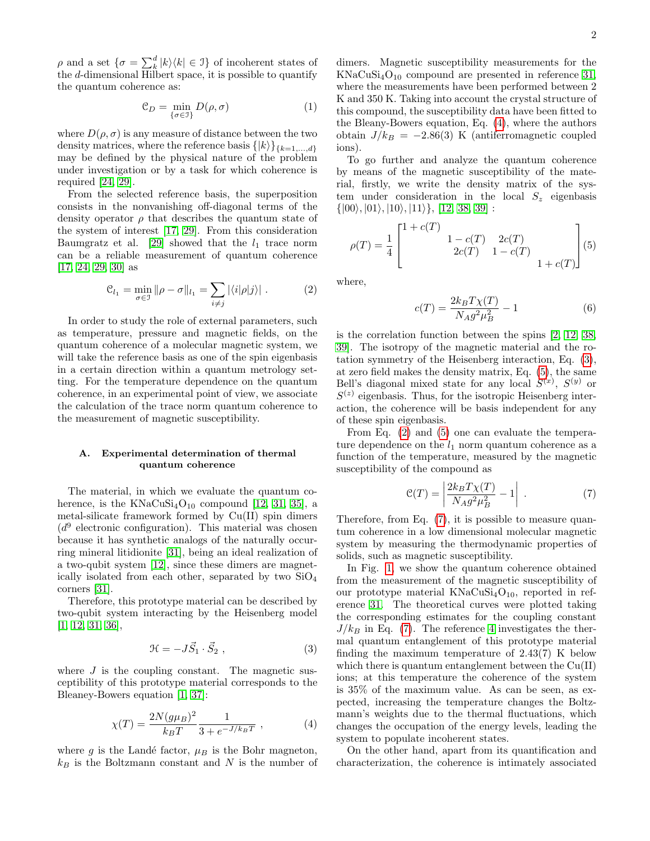$\rho$  and a set  $\{\sigma = \sum_{k=1}^{d} |k\rangle\langle k| \in \mathcal{I}\}$  of incoherent states of the d-dimensional Hilbert space, it is possible to quantify the quantum coherence as:

$$
\mathcal{C}_D = \min_{\{\sigma \in \mathcal{I}\}} D(\rho, \sigma) \tag{1}
$$

where  $D(\rho, \sigma)$  is any measure of distance between the two density matrices, where the reference basis  $\{|k\rangle\}_{\{k=1,\ldots,d\}}$ may be defined by the physical nature of the problem under investigation or by a task for which coherence is required [\[24,](#page-6-5) [29\]](#page-6-4).

From the selected reference basis, the superposition consists in the nonvanishing off-diagonal terms of the density operator  $\rho$  that describes the quantum state of the system of interest [\[17,](#page-6-2) [29\]](#page-6-4). From this consideration Baumgratz et al. [\[29\]](#page-6-4) showed that the  $l_1$  trace norm can be a reliable measurement of quantum coherence [\[17,](#page-6-2) [24,](#page-6-5) [29,](#page-6-4) [30\]](#page-6-6) as

<span id="page-1-3"></span>
$$
\mathcal{C}_{l_1} = \min_{\sigma \in \mathcal{I}} \|\rho - \sigma\|_{l_1} = \sum_{i \neq j} |\langle i|\rho|j\rangle| \,. \tag{2}
$$

In order to study the role of external parameters, such as temperature, pressure and magnetic fields, on the quantum coherence of a molecular magnetic system, we will take the reference basis as one of the spin eigenbasis in a certain direction within a quantum metrology setting. For the temperature dependence on the quantum coherence, in an experimental point of view, we associate the calculation of the trace norm quantum coherence to the measurement of magnetic susceptibility.

## A. Experimental determination of thermal quantum coherence

The material, in which we evaluate the quantum coherence, is the  $KNaCuSi<sub>4</sub>O<sub>10</sub>$  compound [\[12,](#page-5-1) [31,](#page-6-7) [35\]](#page-6-10), a metal-silicate framework formed by Cu(II) spin dimers  $(d^9)$  electronic configuration). This material was chosen because it has synthetic analogs of the naturally occurring mineral litidionite [\[31\]](#page-6-7), being an ideal realization of a two-qubit system [\[12\]](#page-5-1), since these dimers are magnetically isolated from each other, separated by two  $SiO<sub>4</sub>$ corners [\[31\]](#page-6-7).

Therefore, this prototype material can be described by two-qubit system interacting by the Heisenberg model [\[1,](#page-5-0) [12,](#page-5-1) [31,](#page-6-7) [36\]](#page-6-11),

<span id="page-1-1"></span>
$$
\mathcal{H} = -J\vec{S}_1 \cdot \vec{S}_2 , \qquad (3)
$$

where  $J$  is the coupling constant. The magnetic susceptibility of this prototype material corresponds to the Bleaney-Bowers equation [\[1,](#page-5-0) [37\]](#page-6-12):

<span id="page-1-0"></span>
$$
\chi(T) = \frac{2N(g\mu_B)^2}{k_B T} \frac{1}{3 + e^{-J/k_B T}} , \qquad (4)
$$

where g is the Landé factor,  $\mu_B$  is the Bohr magneton,  $k_B$  is the Boltzmann constant and N is the number of

dimers. Magnetic susceptibility measurements for the  $KNaCuSi<sub>4</sub>O<sub>10</sub>$  compound are presented in reference [31,](#page-6-7) where the measurements have been performed between 2 K and 350 K. Taking into account the crystal structure of this compound, the susceptibility data have been fitted to the Bleany-Bowers equation, Eq. [\(4\)](#page-1-0), where the authors obtain  $J/k_B = -2.86(3)$  K (antiferromagnetic coupled ions).

To go further and analyze the quantum coherence by means of the magnetic susceptibility of the material, firstly, we write the density matrix of the system under consideration in the local  $S_z$  eigenbasis  $\{|00\rangle, |01\rangle, |10\rangle, |11\rangle\}, [12, 38, 39]$  $\{|00\rangle, |01\rangle, |10\rangle, |11\rangle\}, [12, 38, 39]$  $\{|00\rangle, |01\rangle, |10\rangle, |11\rangle\}, [12, 38, 39]$  $\{|00\rangle, |01\rangle, |10\rangle, |11\rangle\}, [12, 38, 39]$ :

<span id="page-1-2"></span>
$$
\rho(T) = \frac{1}{4} \begin{bmatrix} 1 + c(T) & 1 - c(T) & 2c(T) \\ 2c(T) & 1 - c(T) & 1 + c(T) \end{bmatrix} (5)
$$

where,

$$
c(T) = \frac{2k_B T \chi(T)}{N_A g^2 \mu_B^2} - 1
$$
 (6)

is the correlation function between the spins [\[2,](#page-5-2) [12,](#page-5-1) [38,](#page-6-13) [39\]](#page-6-14). The isotropy of the magnetic material and the rotation symmetry of the Heisenberg interaction, Eq. [\(3\)](#page-1-1), at zero field makes the density matrix, Eq. [\(5\)](#page-1-2), the same Bell's diagonal mixed state for any local  $S^{(x)}$ ,  $S^{(y)}$  or  $S^{(z)}$  eigenbasis. Thus, for the isotropic Heisenberg interaction, the coherence will be basis independent for any of these spin eigenbasis.

From Eq. [\(2\)](#page-1-3) and [\(5\)](#page-1-2) one can evaluate the temperature dependence on the  $l_1$  norm quantum coherence as a function of the temperature, measured by the magnetic susceptibility of the compound as

<span id="page-1-4"></span>
$$
\mathcal{C}(T) = \left| \frac{2k_B T \chi(T)}{N_A g^2 \mu_B^2} - 1 \right| \tag{7}
$$

Therefore, from Eq. [\(7\)](#page-1-4), it is possible to measure quantum coherence in a low dimensional molecular magnetic system by measuring the thermodynamic properties of solids, such as magnetic susceptibility.

In Fig. [1,](#page-2-0) we show the quantum coherence obtained from the measurement of the magnetic susceptibility of our prototype material  $KNaCuSi<sub>4</sub>O<sub>10</sub>$ , reported in reference [31.](#page-6-7) The theoretical curves were plotted taking the corresponding estimates for the coupling constant  $J/k_B$  in Eq. [\(7\)](#page-1-4). The reference [4](#page-5-3) investigates the thermal quantum entanglement of this prototype material finding the maximum temperature of 2.43(7) K below which there is quantum entanglement between the  $Cu(II)$ ions; at this temperature the coherence of the system is 35% of the maximum value. As can be seen, as expected, increasing the temperature changes the Boltzmann's weights due to the thermal fluctuations, which changes the occupation of the energy levels, leading the system to populate incoherent states.

On the other hand, apart from its quantification and characterization, the coherence is intimately associated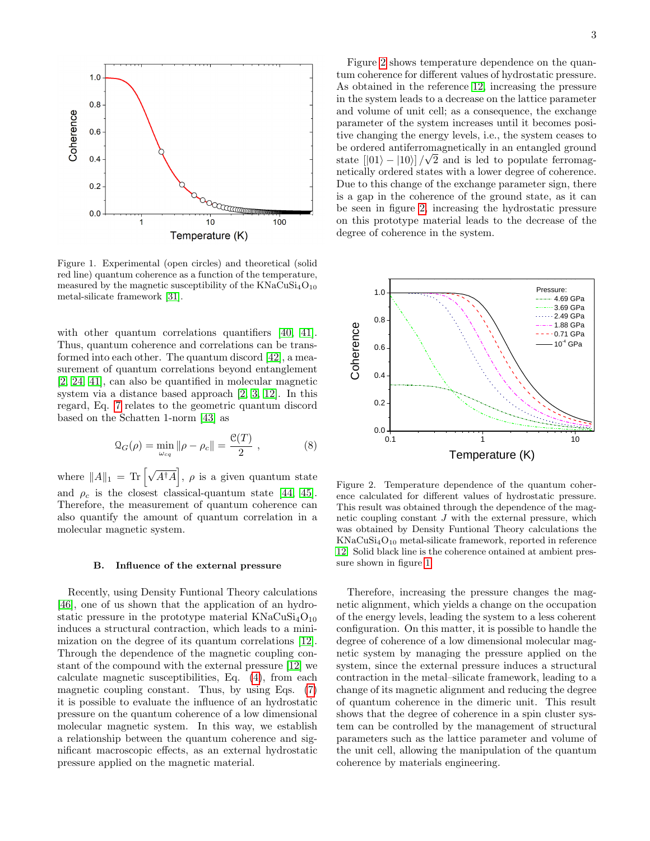

<span id="page-2-0"></span>Figure 1. Experimental (open circles) and theoretical (solid red line) quantum coherence as a function of the temperature, measured by the magnetic susceptibility of the  $KNaCuSi<sub>4</sub>O<sub>10</sub>$ metal-silicate framework [\[31\]](#page-6-7).

with other quantum correlations quantifiers [\[40,](#page-6-15) [41\]](#page-6-16). Thus, quantum coherence and correlations can be transformed into each other. The quantum discord [\[42\]](#page-6-17), a measurement of quantum correlations beyond entanglement [\[2,](#page-5-2) [24,](#page-6-5) [41\]](#page-6-16), can also be quantified in molecular magnetic system via a distance based approach [\[2,](#page-5-2) [3,](#page-5-5) [12\]](#page-5-1). In this regard, Eq. [7](#page-1-4) relates to the geometric quantum discord based on the Schatten 1-norm [\[43\]](#page-6-18) as

$$
\mathcal{Q}_G(\rho) = \min_{\omega_{cq}} \|\rho - \rho_c\| = \frac{\mathcal{C}(T)}{2} \;, \tag{8}
$$

where  $||A||_1 = \text{Tr} \left[ \sqrt{A^{\dagger} A} \right], \rho$  is a given quantum state and  $\rho_c$  is the closest classical-quantum state [\[44,](#page-6-19) [45\]](#page-6-20). Therefore, the measurement of quantum coherence can also quantify the amount of quantum correlation in a molecular magnetic system.

#### B. Influence of the external pressure

Recently, using Density Funtional Theory calculations [\[46\]](#page-6-21), one of us shown that the application of an hydrostatic pressure in the prototype material  $KNaCuSi<sub>4</sub>O<sub>10</sub>$ induces a structural contraction, which leads to a minimization on the degree of its quantum correlations [\[12\]](#page-5-1). Through the dependence of the magnetic coupling constant of the compound with the external pressure [\[12\]](#page-5-1) we calculate magnetic susceptibilities, Eq. [\(4\)](#page-1-0), from each magnetic coupling constant. Thus, by using Eqs. [\(7\)](#page-1-4) it is possible to evaluate the influence of an hydrostatic pressure on the quantum coherence of a low dimensional molecular magnetic system. In this way, we establish a relationship between the quantum coherence and significant macroscopic effects, as an external hydrostatic pressure applied on the magnetic material.

Figure [2](#page-2-1) shows temperature dependence on the quantum coherence for different values of hydrostatic pressure. As obtained in the reference [12,](#page-5-1) increasing the pressure in the system leads to a decrease on the lattice parameter and volume of unit cell; as a consequence, the exchange parameter of the system increases until it becomes positive changing the energy levels, i.e., the system ceases to be ordered antiferromagnetically in an entangled ground state  $[|01\rangle - |10\rangle]/\sqrt{2}$  and is led to populate ferromagnetically ordered states with a lower degree of coherence. Due to this change of the exchange parameter sign, there is a gap in the coherence of the ground state, as it can be seen in figure [2,](#page-2-1) increasing the hydrostatic pressure on this prototype material leads to the decrease of the degree of coherence in the system.



<span id="page-2-1"></span>Figure 2. Temperature dependence of the quantum coherence calculated for different values of hydrostatic pressure. This result was obtained through the dependence of the magnetic coupling constant  $J$  with the external pressure, which was obtained by Density Funtional Theory calculations the  $KNaCuSi<sub>4</sub>O<sub>10</sub>$  metal-silicate framework, reported in reference [12.](#page-5-1) Solid black line is the coherence ontained at ambient pressure shown in figure [1.](#page-2-0)

Therefore, increasing the pressure changes the magnetic alignment, which yields a change on the occupation of the energy levels, leading the system to a less coherent configuration. On this matter, it is possible to handle the degree of coherence of a low dimensional molecular magnetic system by managing the pressure applied on the system, since the external pressure induces a structural contraction in the metal–silicate framework, leading to a change of its magnetic alignment and reducing the degree of quantum coherence in the dimeric unit. This result shows that the degree of coherence in a spin cluster system can be controlled by the management of structural parameters such as the lattice parameter and volume of the unit cell, allowing the manipulation of the quantum coherence by materials engineering.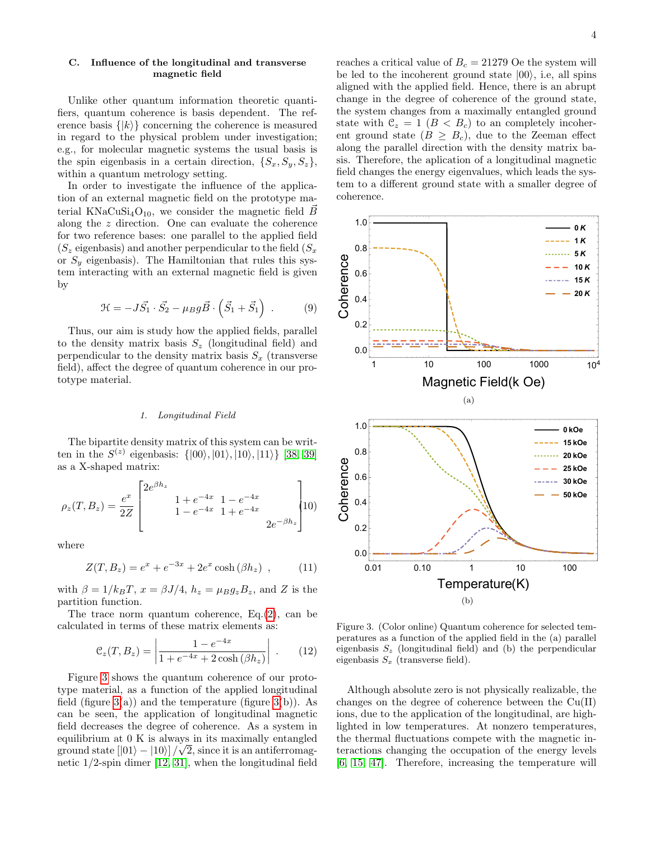# C. Influence of the longitudinal and transverse magnetic field

Unlike other quantum information theoretic quantifiers, quantum coherence is basis dependent. The reference basis  $\{|k\rangle\}$  concerning the coherence is measured in regard to the physical problem under investigation; e.g., for molecular magnetic systems the usual basis is the spin eigenbasis in a certain direction,  $\{S_x, S_y, S_z\}$ , within a quantum metrology setting.

In order to investigate the influence of the application of an external magnetic field on the prototype material KNaCuSi<sub>4</sub>O<sub>10</sub>, we consider the magnetic field B along the z direction. One can evaluate the coherence for two reference bases: one parallel to the applied field  $(S_z$  eigenbasis) and another perpendicular to the field  $(S_x)$ or  $S<sub>y</sub>$  eigenbasis). The Hamiltonian that rules this system interacting with an external magnetic field is given by

$$
\mathcal{H} = -J\vec{S_1} \cdot \vec{S_2} - \mu_B g \vec{B} \cdot \left(\vec{S_1} + \vec{S_1}\right) . \tag{9}
$$

Thus, our aim is study how the applied fields, parallel to the density matrix basis  $S_z$  (longitudinal field) and perpendicular to the density matrix basis  $S_x$  (transverse field), affect the degree of quantum coherence in our prototype material.

# 1. Longitudinal Field

The bipartite density matrix of this system can be written in the  $S^{(z)}$  eigenbasis:  $\{|00\rangle, |01\rangle, |10\rangle, |11\rangle\}$  [\[38,](#page-6-13) [39\]](#page-6-14) as a X-shaped matrix:

<span id="page-3-1"></span>
$$
\rho_z(T, B_z) = \frac{e^x}{2Z} \begin{bmatrix} 2e^{\beta h_z} & 1 + e^{-4x} & 1 - e^{-4x} \\ 1 + e^{-4x} & 1 + e^{-4x} \\ 1 - e^{-4x} & 1 + e^{-4x} \end{bmatrix} \tag{10}
$$

where

$$
Z(T, B_z) = e^x + e^{-3x} + 2e^x \cosh(\beta h_z) , \qquad (11)
$$

with  $\beta = 1/k_B T$ ,  $x = \beta J/4$ ,  $h_z = \mu_B g_z B_z$ , and Z is the partition function.

The trace norm quantum coherence, Eq.[\(2\)](#page-1-3), can be calculated in terms of these matrix elements as:

$$
\mathcal{C}_z(T, B_z) = \left| \frac{1 - e^{-4x}}{1 + e^{-4x} + 2\cosh(\beta h_z)} \right| . \tag{12}
$$

Figure [3](#page-3-0) shows the quantum coherence of our prototype material, as a function of the applied longitudinal field (figure  $3(a)$ ) and the temperature (figure  $3(b)$ ). As can be seen, the application of longitudinal magnetic field decreases the degree of coherence. As a system in equilibrium at  $0$  K is always in its maximally entangled ground state  $[|01\rangle - |10\rangle]/\sqrt{2}$ , since it is an antiferromagnetic 1/2-spin dimer [\[12,](#page-5-1) [31\]](#page-6-7), when the longitudinal field

reaches a critical value of  $B_c = 21279$  Oe the system will be led to the incoherent ground state  $|00\rangle$ , i.e, all spins aligned with the applied field. Hence, there is an abrupt change in the degree of coherence of the ground state, the system changes from a maximally entangled ground state with  $\mathcal{C}_z = 1$   $(B < B_c)$  to an completely incoherent ground state  $(B \geq B_c)$ , due to the Zeeman effect along the parallel direction with the density matrix basis. Therefore, the aplication of a longitudinal magnetic field changes the energy eigenvalues, which leads the system to a different ground state with a smaller degree of



<span id="page-3-0"></span>Figure 3. (Color online) Quantum coherence for selected temperatures as a function of the applied field in the (a) parallel eigenbasis  $S_z$  (longitudinal field) and (b) the perpendicular eigenbasis  $S_x$  (transverse field).

Although absolute zero is not physically realizable, the changes on the degree of coherence between the Cu(II) ions, due to the application of the longitudinal, are highlighted in low temperatures. At nonzero temperatures, the thermal fluctuations compete with the magnetic interactions changing the occupation of the energy levels [\[6,](#page-5-6) [15,](#page-6-0) [47\]](#page-6-22). Therefore, increasing the temperature will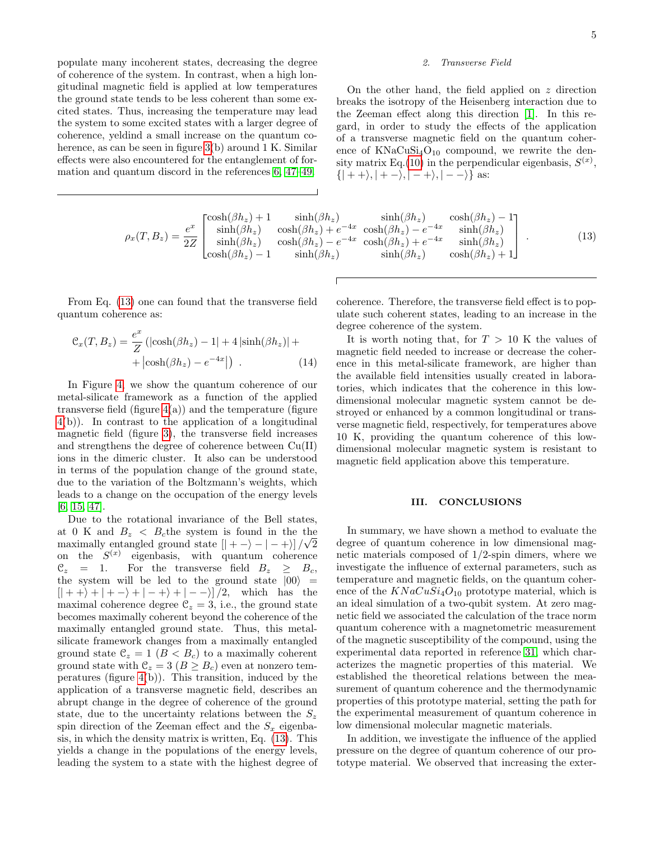populate many incoherent states, decreasing the degree of coherence of the system. In contrast, when a high longitudinal magnetic field is applied at low temperatures the ground state tends to be less coherent than some excited states. Thus, increasing the temperature may lead the system to some excited states with a larger degree of coherence, yeldind a small increase on the quantum co-herence, as can be seen in figure [3\(](#page-3-0)b) around 1 K. Similar effects were also encountered for the entanglement of formation and quantum discord in the references [6,](#page-5-6) [47–](#page-6-22)[49.](#page-6-23)

<span id="page-4-0"></span>
$$
\rho_x(T, B_z) = \frac{e^x}{2Z} \begin{bmatrix} \cosh(\beta h_z) + 1 & \sinh(\beta h_z) & \sinh(\beta h_z) & \cosh(\beta h_z) - 1\\ \sinh(\beta h_z) & \cosh(\beta h_z) + e^{-4x} & \cosh(\beta h_z) - e^{-4x} & \sinh(\beta h_z)\\ \sinh(\beta h_z) & \cosh(\beta h_z) - e^{-4x} & \cosh(\beta h_z) + e^{-4x} & \sinh(\beta h_z)\\ \cosh(\beta h_z) - 1 & \sinh(\beta h_z) & \sinh(\beta h_z) & \cosh(\beta h_z) + 1 \end{bmatrix} . \tag{13}
$$

From Eq. [\(13\)](#page-4-0) one can found that the transverse field quantum coherence as:

$$
\mathcal{C}_x(T, B_z) = \frac{e^x}{Z} \left( |\cosh(\beta h_z) - 1| + 4 |\sinh(\beta h_z)| + | \cosh(\beta h_z) - e^{-4x}| \right) . \tag{14}
$$

In Figure [4,](#page-5-7) we show the quantum coherence of our metal-silicate framework as a function of the applied transverse field (figure  $4(a)$ ) and the temperature (figure [4\(](#page-5-7)b)). In contrast to the application of a longitudinal magnetic field (figure [3\)](#page-3-0), the transverse field increases and strengthens the degree of coherence between Cu(II) ions in the dimeric cluster. It also can be understood in terms of the population change of the ground state, due to the variation of the Boltzmann's weights, which leads to a change on the occupation of the energy levels [\[6,](#page-5-6) [15,](#page-6-0) [47\]](#page-6-22).

Due to the rotational invariance of the Bell states, at 0 K and  $B_z < B_c$  the system is found in the the maximally entangled ground state  $[| + - \rangle - | - + \rangle]/\sqrt{2}$ on the  $S^{(x)}$  eigenbasis, with quantum coherence  $\mathcal{C}_z = 1$ . For the transverse field  $B_z \geq B_c$ , the system will be led to the ground state  $|00\rangle$  =  $[ \vert + +\rangle + \vert + -\rangle + \vert - +\rangle + \vert - -\rangle ]/2$ , which has the maximal coherence degree  $\mathcal{C}_z = 3$ , i.e., the ground state becomes maximally coherent beyond the coherence of the maximally entangled ground state. Thus, this metalsilicate framework changes from a maximally entangled ground state  $\mathcal{C}_z = 1$   $(B < B_c)$  to a maximally coherent ground state with  $\mathcal{C}_z = 3$   $(B \geq B_c)$  even at nonzero temperatures (figure [4\(](#page-5-7)b)). This transition, induced by the application of a transverse magnetic field, describes an abrupt change in the degree of coherence of the ground state, due to the uncertainty relations between the  $S_z$ spin direction of the Zeeman effect and the  $S_x$  eigenbasis, in which the density matrix is written, Eq. [\(13\)](#page-4-0). This yields a change in the populations of the energy levels, leading the system to a state with the highest degree of

#### 2. Transverse Field

On the other hand, the field applied on  $z$  direction breaks the isotropy of the Heisenberg interaction due to the Zeeman effect along this direction [\[1\]](#page-5-0). In this regard, in order to study the effects of the application of a transverse magnetic field on the quantum coherence of  $KNaCuSi<sub>4</sub>O<sub>10</sub>$  compound, we rewrite the den-sity matrix Eq.[\(10\)](#page-3-1) in the perpendicular eigenbasis,  $S^{(x)}$ ,  $\{|++\rangle, |+-\rangle, |-+\rangle, |--\rangle\}$  as:

coherence. Therefore, the transverse field effect is to populate such coherent states, leading to an increase in the

degree coherence of the system.

It is worth noting that, for  $T > 10$  K the values of magnetic field needed to increase or decrease the coherence in this metal-silicate framework, are higher than the available field intensities usually created in laboratories, which indicates that the coherence in this lowdimensional molecular magnetic system cannot be destroyed or enhanced by a common longitudinal or transverse magnetic field, respectively, for temperatures above 10 K, providing the quantum coherence of this lowdimensional molecular magnetic system is resistant to magnetic field application above this temperature.

## III. CONCLUSIONS

In summary, we have shown a method to evaluate the degree of quantum coherence in low dimensional magnetic materials composed of 1/2-spin dimers, where we investigate the influence of external parameters, such as temperature and magnetic fields, on the quantum coherence of the  $KNaCuSi<sub>4</sub>O<sub>10</sub>$  prototype material, which is an ideal simulation of a two-qubit system. At zero magnetic field we associated the calculation of the trace norm quantum coherence with a magnetometric measurement of the magnetic susceptibility of the compound, using the experimental data reported in reference [31,](#page-6-7) which characterizes the magnetic properties of this material. We established the theoretical relations between the measurement of quantum coherence and the thermodynamic properties of this prototype material, setting the path for the experimental measurement of quantum coherence in low dimensional molecular magnetic materials.

In addition, we investigate the influence of the applied pressure on the degree of quantum coherence of our prototype material. We observed that increasing the exter-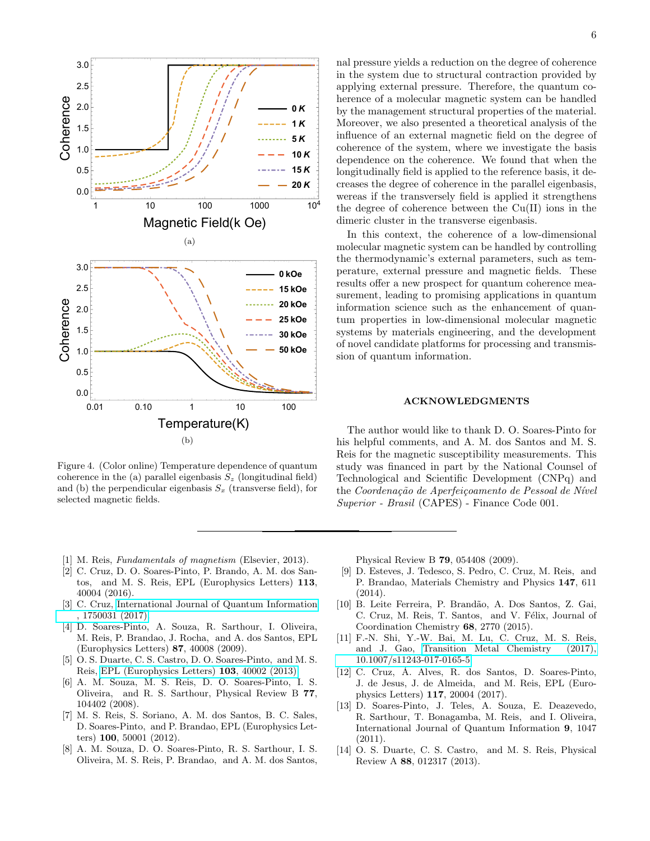

<span id="page-5-7"></span>Figure 4. (Color online) Temperature dependence of quantum coherence in the (a) parallel eigenbasis  $S_z$  (longitudinal field) and (b) the perpendicular eigenbasis  $S_x$  (transverse field), for selected magnetic fields.

nal pressure yields a reduction on the degree of coherence in the system due to structural contraction provided by applying external pressure. Therefore, the quantum coherence of a molecular magnetic system can be handled by the management structural properties of the material. Moreover, we also presented a theoretical analysis of the influence of an external magnetic field on the degree of coherence of the system, where we investigate the basis dependence on the coherence. We found that when the longitudinally field is applied to the reference basis, it decreases the degree of coherence in the parallel eigenbasis, wereas if the transversely field is applied it strengthens the degree of coherence between the Cu(II) ions in the dimeric cluster in the transverse eigenbasis.

In this context, the coherence of a low-dimensional molecular magnetic system can be handled by controlling the thermodynamic's external parameters, such as temperature, external pressure and magnetic fields. These results offer a new prospect for quantum coherence measurement, leading to promising applications in quantum information science such as the enhancement of quantum properties in low-dimensional molecular magnetic systems by materials engineering, and the development of novel candidate platforms for processing and transmission of quantum information.

## ACKNOWLEDGMENTS

The author would like to thank D. O. Soares-Pinto for his helpful comments, and A. M. dos Santos and M. S. Reis for the magnetic susceptibility measurements. This study was financed in part by the National Counsel of Technological and Scientific Development (CNPq) and the Coordenação de Aperfeiçoamento de Pessoal de Nível Superior - Brasil (CAPES) - Finance Code 001.

- <span id="page-5-0"></span>[1] M. Reis, *Fundamentals of magnetism* (Elsevier, 2013).
- <span id="page-5-2"></span>[2] C. Cruz, D. O. Soares-Pinto, P. Brando, A. M. dos Santos, and M. S. Reis, EPL (Europhysics Letters) 113, 40004 (2016).
- <span id="page-5-5"></span>[3] C. Cruz, [International Journal of Quantum Information](http://dx.doi.org/10.1142/S0219749917500319) [, 1750031 \(2017\).](http://dx.doi.org/10.1142/S0219749917500319)
- <span id="page-5-3"></span>[4] D. Soares-Pinto, A. Souza, R. Sarthour, I. Oliveira, M. Reis, P. Brandao, J. Rocha, and A. dos Santos, EPL (Europhysics Letters) 87, 40008 (2009).
- [5] O. S. Duarte, C. S. Castro, D. O. Soares-Pinto, and M. S. Reis, [EPL \(Europhysics Letters\)](http://stacks.iop.org/0295-5075/103/i=4/a=40002) 103, 40002 (2013).
- <span id="page-5-6"></span>[6] A. M. Souza, M. S. Reis, D. O. Soares-Pinto, I. S. Oliveira, and R. S. Sarthour, Physical Review B 77, 104402 (2008).
- [7] M. S. Reis, S. Soriano, A. M. dos Santos, B. C. Sales, D. Soares-Pinto, and P. Brandao, EPL (Europhysics Letters) 100, 50001 (2012).
- <span id="page-5-4"></span>[8] A. M. Souza, D. O. Soares-Pinto, R. S. Sarthour, I. S. Oliveira, M. S. Reis, P. Brandao, and A. M. dos Santos,

Physical Review B 79, 054408 (2009).

- [9] D. Esteves, J. Tedesco, S. Pedro, C. Cruz, M. Reis, and P. Brandao, Materials Chemistry and Physics 147, 611 (2014).
- [10] B. Leite Ferreira, P. Brandão, A. Dos Santos, Z. Gai, C. Cruz, M. Reis, T. Santos, and V. Félix, Journal of Coordination Chemistry 68, 2770 (2015).
- [11] F.-N. Shi, Y.-W. Bai, M. Lu, C. Cruz, M. S. Reis, and J. Gao, [Transition Metal Chemistry \(2017\),](http://dx.doi.org/10.1007/s11243-017-0165-5) [10.1007/s11243-017-0165-5.](http://dx.doi.org/10.1007/s11243-017-0165-5)
- <span id="page-5-1"></span>[12] C. Cruz, A. Alves, R. dos Santos, D. Soares-Pinto, ´ J. de Jesus, J. de Almeida, and M. Reis, EPL (Europhysics Letters) 117, 20004 (2017).
- [13] D. Soares-Pinto, J. Teles, A. Souza, E. Deazevedo, R. Sarthour, T. Bonagamba, M. Reis, and I. Oliveira, International Journal of Quantum Information 9, 1047 (2011).
- [14] O. S. Duarte, C. S. Castro, and M. S. Reis, Physical Review A 88, 012317 (2013).